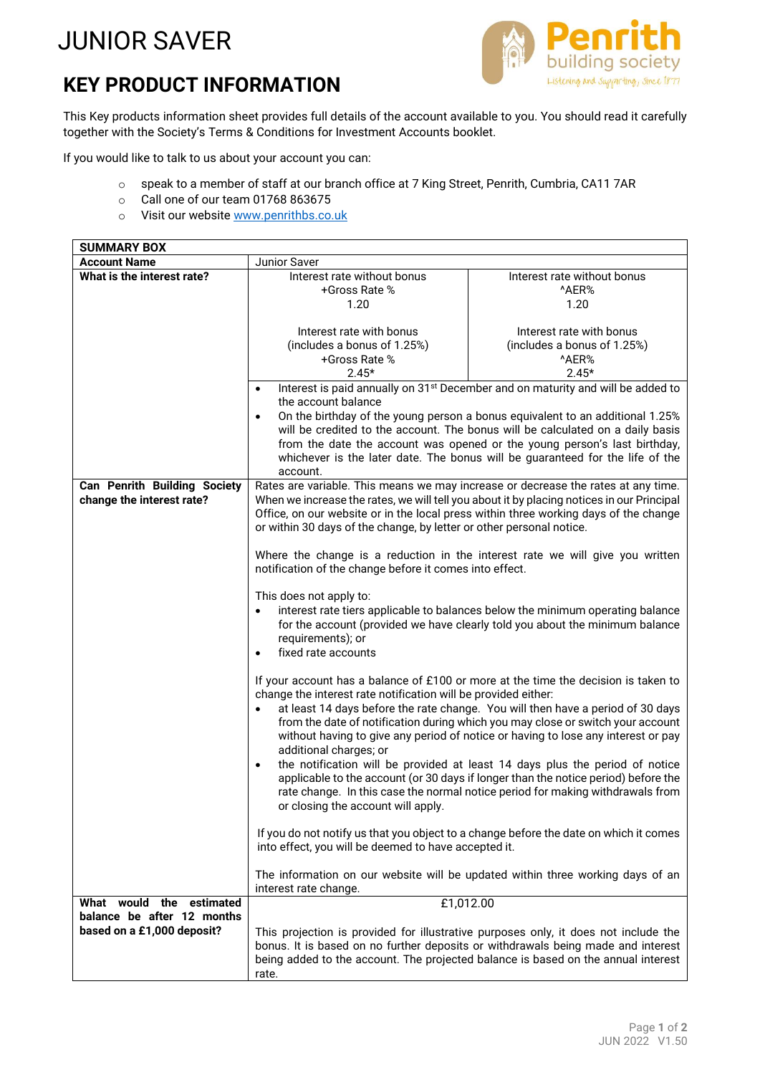## JUNIOR SAVER

## **KEY PRODUCT INFORMATION**



This Key products information sheet provides full details of the account available to you. You should read it carefully together with the Society's Terms & Conditions for Investment Accounts booklet.

If you would like to talk to us about your account you can:

- o speak to a member of staff at our branch office at 7 King Street, Penrith, Cumbria, CA11 7AR
- o Call one of our team 01768 863675
- o Visit our website [www.penrithbs.co.uk](http://www.penrithbs.co.uk/)

| <b>SUMMARY BOX</b>                  |                                                                                             |                                                                                             |  |
|-------------------------------------|---------------------------------------------------------------------------------------------|---------------------------------------------------------------------------------------------|--|
| <b>Account Name</b>                 | Junior Saver                                                                                |                                                                                             |  |
| What is the interest rate?          | Interest rate without bonus                                                                 | Interest rate without bonus                                                                 |  |
|                                     | +Gross Rate %                                                                               | ^AER%                                                                                       |  |
|                                     | 1.20                                                                                        | 1.20                                                                                        |  |
|                                     |                                                                                             |                                                                                             |  |
|                                     | Interest rate with bonus                                                                    | Interest rate with bonus                                                                    |  |
|                                     | (includes a bonus of 1.25%)                                                                 | (includes a bonus of 1.25%)                                                                 |  |
|                                     | +Gross Rate %                                                                               | ^AER%                                                                                       |  |
|                                     | $2.45*$                                                                                     | $2.45*$                                                                                     |  |
|                                     | $\bullet$                                                                                   | Interest is paid annually on 31 <sup>st</sup> December and on maturity and will be added to |  |
|                                     | the account balance                                                                         |                                                                                             |  |
|                                     | On the birthday of the young person a bonus equivalent to an additional 1.25%<br>$\bullet$  |                                                                                             |  |
|                                     | will be credited to the account. The bonus will be calculated on a daily basis              |                                                                                             |  |
|                                     | from the date the account was opened or the young person's last birthday,                   |                                                                                             |  |
|                                     | whichever is the later date. The bonus will be guaranteed for the life of the               |                                                                                             |  |
|                                     | account.                                                                                    |                                                                                             |  |
| <b>Can Penrith Building Society</b> | Rates are variable. This means we may increase or decrease the rates at any time.           |                                                                                             |  |
| change the interest rate?           | When we increase the rates, we will tell you about it by placing notices in our Principal   |                                                                                             |  |
|                                     | Office, on our website or in the local press within three working days of the change        |                                                                                             |  |
|                                     | or within 30 days of the change, by letter or other personal notice.                        |                                                                                             |  |
|                                     |                                                                                             |                                                                                             |  |
|                                     | Where the change is a reduction in the interest rate we will give you written               |                                                                                             |  |
|                                     | notification of the change before it comes into effect.                                     |                                                                                             |  |
|                                     | This does not apply to:                                                                     |                                                                                             |  |
|                                     | interest rate tiers applicable to balances below the minimum operating balance<br>$\bullet$ |                                                                                             |  |
|                                     | for the account (provided we have clearly told you about the minimum balance                |                                                                                             |  |
|                                     | requirements); or                                                                           |                                                                                             |  |
|                                     | fixed rate accounts<br>$\bullet$                                                            |                                                                                             |  |
|                                     |                                                                                             |                                                                                             |  |
|                                     | If your account has a balance of £100 or more at the time the decision is taken to          |                                                                                             |  |
|                                     | change the interest rate notification will be provided either:                              |                                                                                             |  |
|                                     | at least 14 days before the rate change. You will then have a period of 30 days             |                                                                                             |  |
|                                     | from the date of notification during which you may close or switch your account             |                                                                                             |  |
|                                     | without having to give any period of notice or having to lose any interest or pay           |                                                                                             |  |
|                                     | additional charges; or                                                                      |                                                                                             |  |
|                                     | $\bullet$                                                                                   | the notification will be provided at least 14 days plus the period of notice                |  |
|                                     | applicable to the account (or 30 days if longer than the notice period) before the          |                                                                                             |  |
|                                     |                                                                                             | rate change. In this case the normal notice period for making withdrawals from              |  |
|                                     | or closing the account will apply.                                                          |                                                                                             |  |
|                                     |                                                                                             |                                                                                             |  |
|                                     |                                                                                             | If you do not notify us that you object to a change before the date on which it comes       |  |
|                                     | into effect, you will be deemed to have accepted it.                                        |                                                                                             |  |
|                                     |                                                                                             |                                                                                             |  |
|                                     | The information on our website will be updated within three working days of an              |                                                                                             |  |
|                                     | interest rate change.                                                                       |                                                                                             |  |
| What would the<br>estimated         | £1,012.00                                                                                   |                                                                                             |  |
| balance be after 12 months          |                                                                                             |                                                                                             |  |
| based on a £1,000 deposit?          | This projection is provided for illustrative purposes only, it does not include the         |                                                                                             |  |
|                                     | bonus. It is based on no further deposits or withdrawals being made and interest            |                                                                                             |  |
|                                     | being added to the account. The projected balance is based on the annual interest           |                                                                                             |  |
|                                     | rate.                                                                                       |                                                                                             |  |